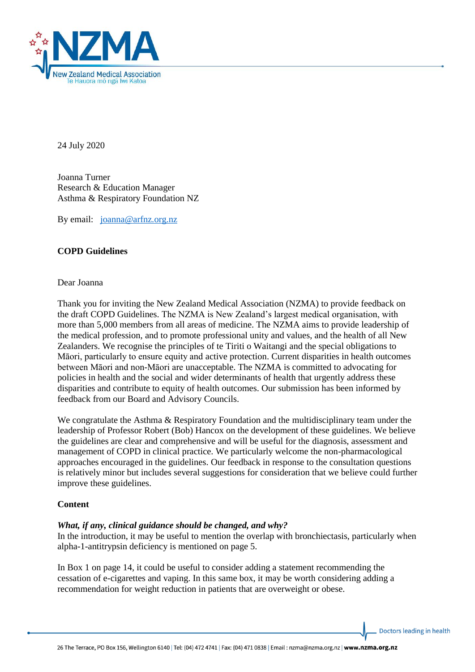

24 July 2020

Joanna Turner Research & Education Manager Asthma & Respiratory Foundation NZ

By email: [joanna@arfnz.org.nz](mailto:joanna@arfnz.org.nz)

# **COPD Guidelines**

### Dear Joanna

Thank you for inviting the New Zealand Medical Association (NZMA) to provide feedback on the draft COPD Guidelines. The NZMA is New Zealand's largest medical organisation, with more than 5,000 members from all areas of medicine. The NZMA aims to provide leadership of the medical profession, and to promote professional unity and values, and the health of all New Zealanders. We recognise the principles of te Tiriti o Waitangi and the special obligations to Māori, particularly to ensure equity and active protection. Current disparities in health outcomes between Māori and non-Māori are unacceptable. The NZMA is committed to advocating for policies in health and the social and wider determinants of health that urgently address these disparities and contribute to equity of health outcomes. Our submission has been informed by feedback from our Board and Advisory Councils.

We congratulate the Asthma & Respiratory Foundation and the multidisciplinary team under the leadership of Professor Robert (Bob) Hancox on the development of these guidelines. We believe the guidelines are clear and comprehensive and will be useful for the diagnosis, assessment and management of COPD in clinical practice. We particularly welcome the non-pharmacological approaches encouraged in the guidelines. Our feedback in response to the consultation questions is relatively minor but includes several suggestions for consideration that we believe could further improve these guidelines.

## **Content**

## *What, if any, clinical guidance should be changed, and why?*

In the introduction, it may be useful to mention the overlap with bronchiectasis, particularly when alpha-1-antitrypsin deficiency is mentioned on page 5.

In Box 1 on page 14, it could be useful to consider adding a statement recommending the cessation of e-cigarettes and vaping. In this same box, it may be worth considering adding a recommendation for weight reduction in patients that are overweight or obese.

Doctors leading in health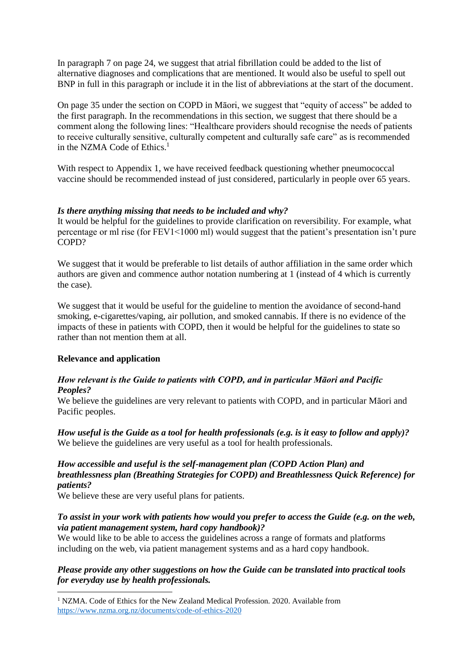In paragraph 7 on page 24, we suggest that atrial fibrillation could be added to the list of alternative diagnoses and complications that are mentioned. It would also be useful to spell out BNP in full in this paragraph or include it in the list of abbreviations at the start of the document.

On page 35 under the section on COPD in Māori, we suggest that "equity of access" be added to the first paragraph. In the recommendations in this section, we suggest that there should be a comment along the following lines: "Healthcare providers should recognise the needs of patients to receive culturally sensitive, culturally competent and culturally safe care" as is recommended in the NZMA Code of Ethics.<sup>1</sup>

With respect to Appendix 1, we have received feedback questioning whether pneumococcal vaccine should be recommended instead of just considered, particularly in people over 65 years.

## *Is there anything missing that needs to be included and why?*

It would be helpful for the guidelines to provide clarification on reversibility. For example, what percentage or ml rise (for FEV1<1000 ml) would suggest that the patient's presentation isn't pure COPD?

We suggest that it would be preferable to list details of author affiliation in the same order which authors are given and commence author notation numbering at 1 (instead of 4 which is currently the case).

We suggest that it would be useful for the guideline to mention the avoidance of second-hand smoking, e-cigarettes/vaping, air pollution, and smoked cannabis. If there is no evidence of the impacts of these in patients with COPD, then it would be helpful for the guidelines to state so rather than not mention them at all.

#### **Relevance and application**

1

## *How relevant is the Guide to patients with COPD, and in particular Māori and Pacific Peoples?*

We believe the guidelines are very relevant to patients with COPD, and in particular Māori and Pacific peoples.

*How useful is the Guide as a tool for health professionals (e.g. is it easy to follow and apply)?*  We believe the guidelines are very useful as a tool for health professionals.

### *How accessible and useful is the self-management plan (COPD Action Plan) and breathlessness plan (Breathing Strategies for COPD) and Breathlessness Quick Reference) for patients?*

We believe these are very useful plans for patients.

# *To assist in your work with patients how would you prefer to access the Guide (e.g. on the web, via patient management system, hard copy handbook)?*

We would like to be able to access the guidelines across a range of formats and platforms including on the web, via patient management systems and as a hard copy handbook.

## *Please provide any other suggestions on how the Guide can be translated into practical tools for everyday use by health professionals.*

 $1$  NZMA. Code of Ethics for the New Zealand Medical Profession. 2020. Available from <https://www.nzma.org.nz/documents/code-of-ethics-2020>